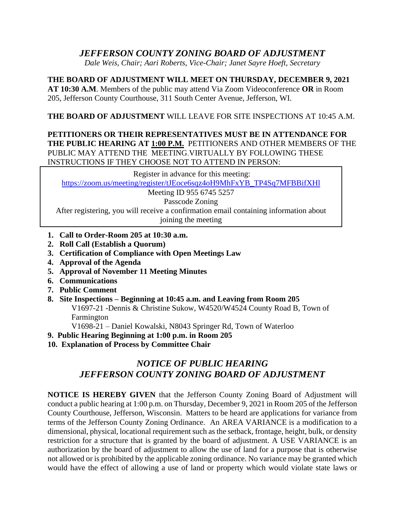# *JEFFERSON COUNTY ZONING BOARD OF ADJUSTMENT*

*Dale Weis, Chair; Aari Roberts, Vice-Chair; Janet Sayre Hoeft, Secretary*

**THE BOARD OF ADJUSTMENT WILL MEET ON THURSDAY, DECEMBER 9, 2021 AT 10:30 A.M**. Members of the public may attend Via Zoom Videoconference **OR** in Room

205, Jefferson County Courthouse, 311 South Center Avenue, Jefferson, WI.

## **THE BOARD OF ADJUSTMENT** WILL LEAVE FOR SITE INSPECTIONS AT 10:45 A.M.

## **PETITIONERS OR THEIR REPRESENTATIVES MUST BE IN ATTENDANCE FOR**  THE PUBLIC HEARING AT 1:00 P.M. PETITIONERS AND OTHER MEMBERS OF THE PUBLIC MAY ATTEND THE MEETING.VIRTUALLY BY FOLLOWING THESE INSTRUCTIONS IF THEY CHOOSE NOT TO ATTEND IN PERSON:

Register in advance for this meeting:

[https://zoom.us/meeting/register/tJEoce6sqz4oH9MhFxYB\\_TP4Sq7MFBBifXHl](https://zoom.us/meeting/register/tJEoce6sqz4oH9MhFxYB_TP4Sq7MFBBifXHl)

Meeting ID 955 6745 5257

Passcode Zoning

After registering, you will receive a confirmation email containing information about joining the meeting

- **1. Call to Order-Room 205 at 10:30 a.m.**
- **2. Roll Call (Establish a Quorum)**
- **3. Certification of Compliance with Open Meetings Law**
- **4. Approval of the Agenda**
- **5. Approval of November 11 Meeting Minutes**
- **6. Communications**
- **7. Public Comment**
- **8. Site Inspections – Beginning at 10:45 a.m. and Leaving from Room 205** V1697-21 -Dennis & Christine Sukow, W4520/W4524 County Road B, Town of Farmington

V1698-21 – Daniel Kowalski, N8043 Springer Rd, Town of Waterloo

- **9. Public Hearing Beginning at 1:00 p.m. in Room 205**
- **10. Explanation of Process by Committee Chair**

# *NOTICE OF PUBLIC HEARING JEFFERSON COUNTY ZONING BOARD OF ADJUSTMENT*

**NOTICE IS HEREBY GIVEN** that the Jefferson County Zoning Board of Adjustment will conduct a public hearing at 1:00 p.m. on Thursday, December 9, 2021 in Room 205 of the Jefferson County Courthouse, Jefferson, Wisconsin. Matters to be heard are applications for variance from terms of the Jefferson County Zoning Ordinance. An AREA VARIANCE is a modification to a dimensional, physical, locational requirement such as the setback, frontage, height, bulk, or density restriction for a structure that is granted by the board of adjustment. A USE VARIANCE is an authorization by the board of adjustment to allow the use of land for a purpose that is otherwise not allowed or is prohibited by the applicable zoning ordinance. No variance may be granted which would have the effect of allowing a use of land or property which would violate state laws or